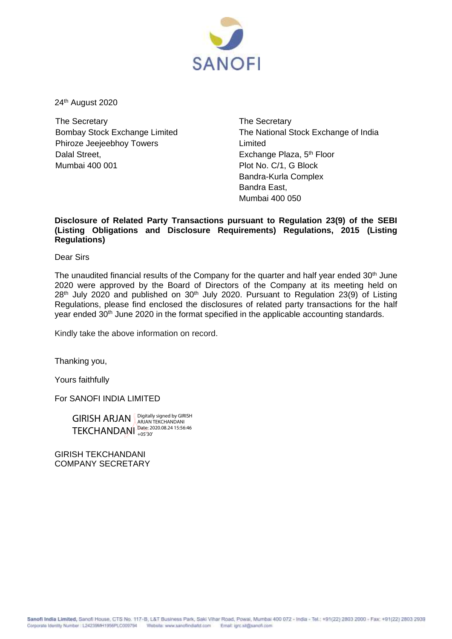

24<sup>th</sup> August 2020

The Secretary Bombay Stock Exchange Limited Phiroze Jeejeebhoy Towers Dalal Street, Mumbai 400 001

The Secretary The National Stock Exchange of India Limited Exchange Plaza, 5<sup>th</sup> Floor Plot No. C/1, G Block Bandra-Kurla Complex Bandra East, Mumbai 400 050

#### **Disclosure of Related Party Transactions pursuant to Regulation 23(9) of the SEBI (Listing Obligations and Disclosure Requirements) Regulations, 2015 (Listing Regulations)**

Dear Sirs

The unaudited financial results of the Company for the quarter and half year ended 30<sup>th</sup> June 2020 were approved by the Board of Directors of the Company at its meeting held on  $28<sup>th</sup>$  July 2020 and published on  $30<sup>th</sup>$  July 2020. Pursuant to Regulation 23(9) of Listing Regulations, please find enclosed the disclosures of related party transactions for the half year ended 30<sup>th</sup> June 2020 in the format specified in the applicable accounting standards.

Kindly take the above information on record.

Thanking you,

Yours faithfully

For SANOFI INDIA LIMITED

GIRISH ARJAN ARJAN BIGITALLY SIGNESS GIRISH TEKCHANDANI <sup>Date: 2020.08.24</sup> 15:56:46 ARJAN TEKCHANDANI +05'30'

GIRISH TEKCHANDANI COMPANY SECRETARY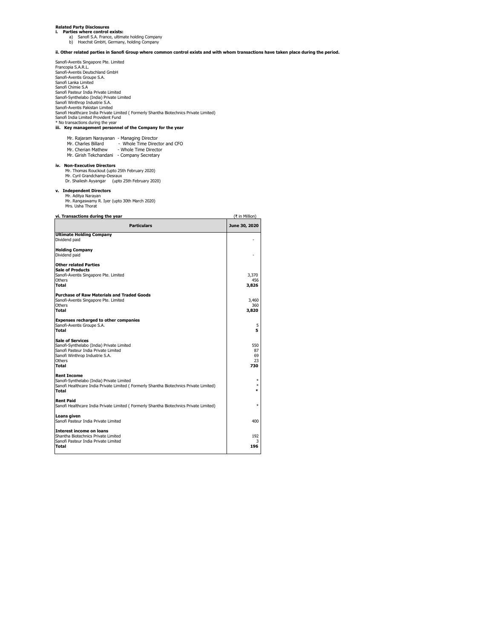# **Related Party Disclosures**

# **i. Parties where control exists:**

- a) Sanofi S.A. France, ultimate holding Company
- b) Hoechst GmbH, Germany, holding Company

#### **ii. Other related parties in Sanofi Group where common control exists and with whom transactions have taken place during the period.**

Sanofi-Aventis Singapore Pte. Limited Francopia S.A.R.L. Sanofi-Aventis Deutschland GmbH Sanofi-Aventis Groupe S.A. Sanofi Lanka Limited Sanofi Chimie S.A Sanofi Pasteur India Private Limited Sanofi-Synthelabo (India) Private Limited Sanofi Winthrop Industrie S.A. Sanofi-Aventis Pakistan Limited Sanofi Healthcare India Private Limited ( Formerly Shantha Biotechnics Private Limited) Sanofi India Limited Provident Fund \* No transactions during the year

# **iii. Key management personnel of the Company for the year**

# **iv. Non-Executive Directors**

 Mr. Thomas Rouckout (upto 25th February 2020) Mr. Cyril Grandchamp-Desraux Dr. Shailesh Ayyangar (upto 25th February 2020)

### **v. Independent Directors**

 Mr. Aditya Narayan Mr. Rangaswamy R. Iyer (upto 30th March 2020) Mrs. Usha Thorat

 Mr. Rajaram Narayanan - Managing Director Mr. Charles Billard - Whole Time Director and CFO Mr. Cherian Mathew - Whole Time Director

Mr. Girish Tekchandani - Company Secretary

#### **vi. Transactions during the year** (₹ in Million)

| <b>Particulars</b>                                                                                                                                                              | June 30, 2020                |
|---------------------------------------------------------------------------------------------------------------------------------------------------------------------------------|------------------------------|
| <b>Ultimate Holding Company</b><br>Dividend paid                                                                                                                                |                              |
| <b>Holding Company</b><br>Dividend paid                                                                                                                                         |                              |
| <b>Other related Parties</b><br><b>Sale of Products</b>                                                                                                                         |                              |
| Sanofi-Aventis Singapore Pte. Limited<br><b>Others</b><br><b>Total</b>                                                                                                          | 3,370<br>456<br>3,826        |
| <b>Purchase of Raw Materials and Traded Goods</b><br>Sanofi-Aventis Singapore Pte. Limited<br><b>Others</b><br><b>Total</b>                                                     | 3,460<br>360<br>3,820        |
| <b>Expenses recharged to other companies</b><br>Sanofi-Aventis Groupe S.A.<br><b>Total</b>                                                                                      | 5<br>5                       |
| <b>Sale of Services</b><br>Sanofi-Synthelabo (India) Private Limited<br>Sanofi Pasteur India Private Limited<br>Sanofi Winthrop Industrie S.A.<br><b>Others</b><br><b>Total</b> | 550<br>87<br>69<br>23<br>730 |
| <b>Rent Income</b><br>Sanofi-Synthelabo (India) Private Limited<br>Sanofi Healthcare India Private Limited (Formerly Shantha Biotechnics Private Limited)<br><b>Total</b>       | $\ast$<br>$\ast$<br>*        |
| <b>Rent Paid</b><br>Sanofi Healthcare India Private Limited (Formerly Shantha Biotechnics Private Limited)                                                                      | ∗                            |
| Loans given<br>Sanofi Pasteur India Private Limited                                                                                                                             | 400                          |
| <b>Interest income on loans</b><br>Shantha Biotechnics Private Limited<br>Sanofi Pasteur India Private Limited<br><b>Total</b>                                                  | 192<br>3<br>196              |